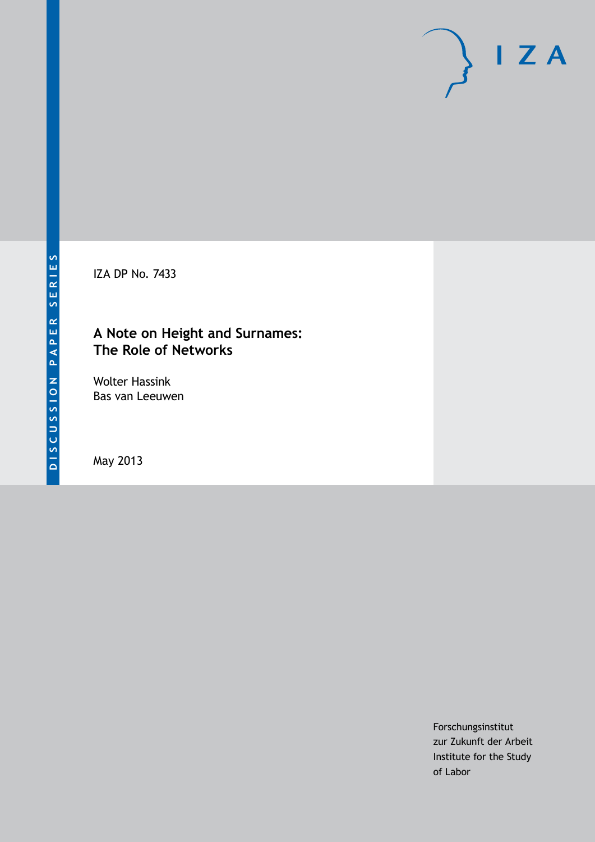IZA DP No. 7433

# **A Note on Height and Surnames: The Role of Networks**

Wolter Hassink Bas van Leeuwen

May 2013

Forschungsinstitut zur Zukunft der Arbeit Institute for the Study of Labor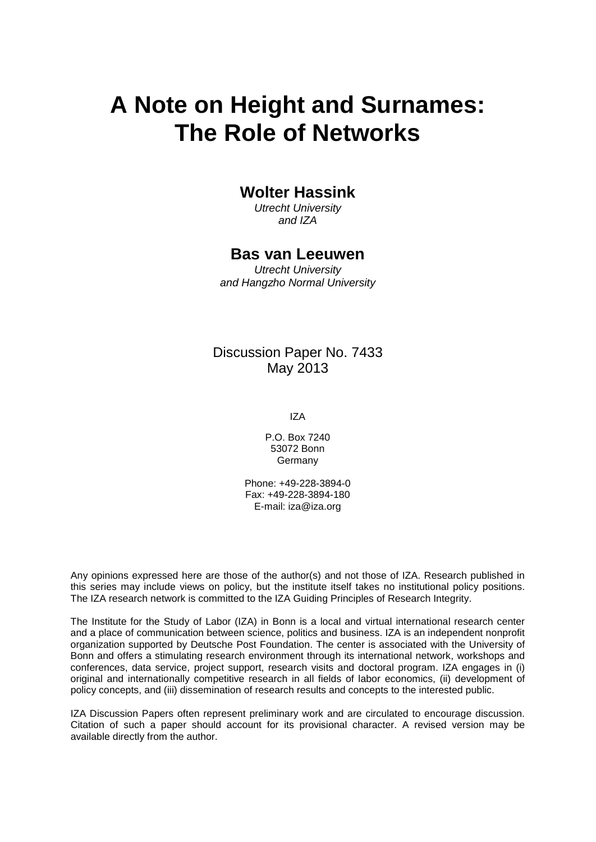# **A Note on Height and Surnames: The Role of Networks**

## **Wolter Hassink**

*Utrecht University and IZA*

### **Bas van Leeuwen**

*Utrecht University and Hangzho Normal University*

## Discussion Paper No. 7433 May 2013

IZA

P.O. Box 7240 53072 Bonn Germany

Phone: +49-228-3894-0 Fax: +49-228-3894-180 E-mail: [iza@iza.org](mailto:iza@iza.org)

Any opinions expressed here are those of the author(s) and not those of IZA. Research published in this series may include views on policy, but the institute itself takes no institutional policy positions. The IZA research network is committed to the IZA Guiding Principles of Research Integrity.

The Institute for the Study of Labor (IZA) in Bonn is a local and virtual international research center and a place of communication between science, politics and business. IZA is an independent nonprofit organization supported by Deutsche Post Foundation. The center is associated with the University of Bonn and offers a stimulating research environment through its international network, workshops and conferences, data service, project support, research visits and doctoral program. IZA engages in (i) original and internationally competitive research in all fields of labor economics, (ii) development of policy concepts, and (iii) dissemination of research results and concepts to the interested public.

IZA Discussion Papers often represent preliminary work and are circulated to encourage discussion. Citation of such a paper should account for its provisional character. A revised version may be available directly from the author.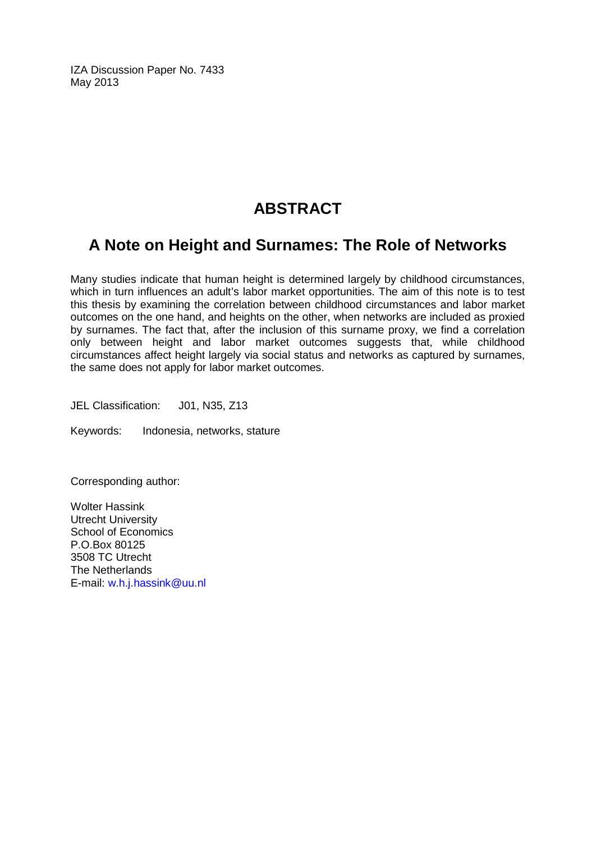IZA Discussion Paper No. 7433 May 2013

# **ABSTRACT**

# **A Note on Height and Surnames: The Role of Networks**

Many studies indicate that human height is determined largely by childhood circumstances, which in turn influences an adult's labor market opportunities. The aim of this note is to test this thesis by examining the correlation between childhood circumstances and labor market outcomes on the one hand, and heights on the other, when networks are included as proxied by surnames. The fact that, after the inclusion of this surname proxy, we find a correlation only between height and labor market outcomes suggests that, while childhood circumstances affect height largely via social status and networks as captured by surnames, the same does not apply for labor market outcomes.

JEL Classification: J01, N35, Z13

Keywords: Indonesia, networks, stature

Corresponding author:

Wolter Hassink Utrecht University School of Economics P.O.Box 80125 3508 TC Utrecht The Netherlands E-mail: [w.h.j.hassink@uu.nl](mailto:w.h.j.hassink@uu.nl)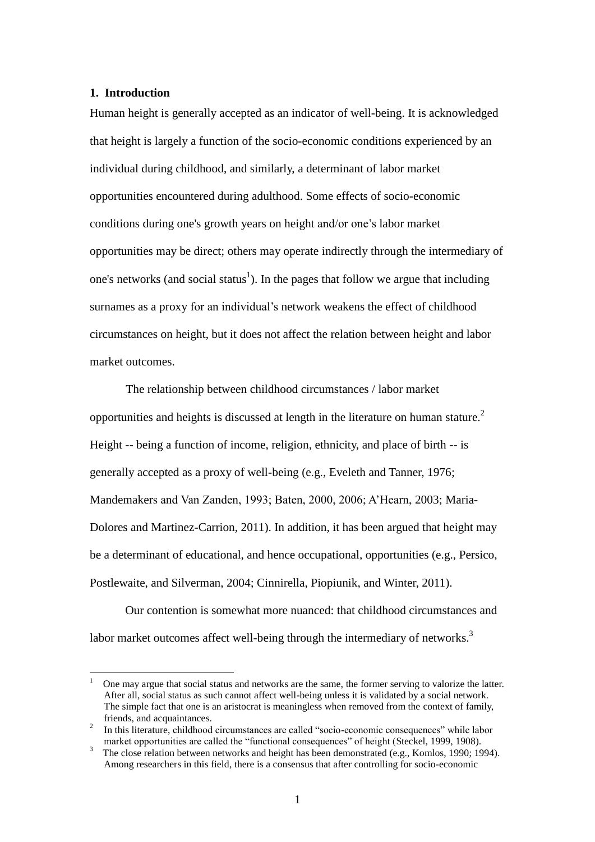#### **1. Introduction**

 $\overline{a}$ 

Human height is generally accepted as an indicator of well-being. It is acknowledged that height is largely a function of the socio-economic conditions experienced by an individual during childhood, and similarly, a determinant of labor market opportunities encountered during adulthood. Some effects of socio-economic conditions during one's growth years on height and/or one's labor market opportunities may be direct; others may operate indirectly through the intermediary of one's networks (and social status<sup>1</sup>). In the pages that follow we argue that including surnames as a proxy for an individual's network weakens the effect of childhood circumstances on height, but it does not affect the relation between height and labor market outcomes.

The relationship between childhood circumstances / labor market opportunities and heights is discussed at length in the literature on human stature.<sup>2</sup> Height -- being a function of income, religion, ethnicity, and place of birth -- is generally accepted as a proxy of well-being (e.g., Eveleth and Tanner, 1976; Mandemakers and Van Zanden, 1993; Baten, 2000, 2006; A'Hearn, 2003; Maria-Dolores and Martinez-Carrion, 2011). In addition, it has been argued that height may be a determinant of educational, and hence occupational, opportunities (e.g., Persico, Postlewaite, and Silverman, 2004; Cinnirella, Piopiunik, and Winter, 2011).

Our contention is somewhat more nuanced: that childhood circumstances and labor market outcomes affect well-being through the intermediary of networks.<sup>3</sup>

<sup>1</sup> One may argue that social status and networks are the same, the former serving to valorize the latter. After all, social status as such cannot affect well-being unless it is validated by a social network. The simple fact that one is an aristocrat is meaningless when removed from the context of family, friends, and acquaintances.

<sup>&</sup>lt;sup>2</sup> In this literature, childhood circumstances are called "socio-economic consequences" while labor market opportunities are called the "functional consequences" of height (Steckel, 1999, 1908).

<sup>3</sup> The close relation between networks and height has been demonstrated (e.g., Komlos, 1990; 1994). Among researchers in this field, there is a consensus that after controlling for socio-economic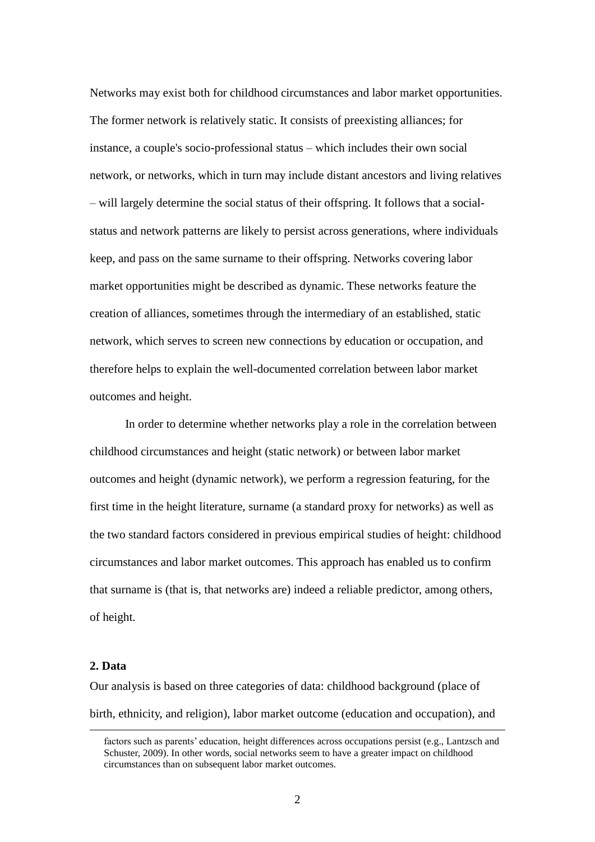Networks may exist both for childhood circumstances and labor market opportunities. The former network is relatively static. It consists of preexisting alliances; for instance, a couple's socio-professional status – which includes their own social network, or networks, which in turn may include distant ancestors and living relatives – will largely determine the social status of their offspring. It follows that a socialstatus and network patterns are likely to persist across generations, where individuals keep, and pass on the same surname to their offspring. Networks covering labor market opportunities might be described as dynamic. These networks feature the creation of alliances, sometimes through the intermediary of an established, static network, which serves to screen new connections by education or occupation, and therefore helps to explain the well-documented correlation between labor market outcomes and height.

In order to determine whether networks play a role in the correlation between childhood circumstances and height (static network) or between labor market outcomes and height (dynamic network), we perform a regression featuring, for the first time in the height literature, surname (a standard proxy for networks) as well as the two standard factors considered in previous empirical studies of height: childhood circumstances and labor market outcomes. This approach has enabled us to confirm that surname is (that is, that networks are) indeed a reliable predictor, among others, of height.

#### **2. Data**

1

Our analysis is based on three categories of data: childhood background (place of birth, ethnicity, and religion), labor market outcome (education and occupation), and

factors such as parents' education, height differences across occupations persist (e.g., Lantzsch and Schuster, 2009). In other words, social networks seem to have a greater impact on childhood circumstances than on subsequent labor market outcomes.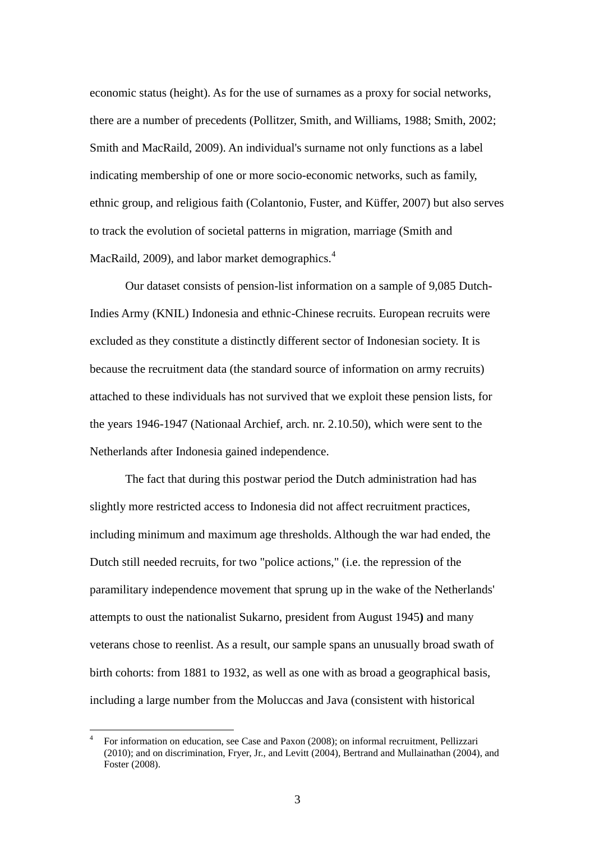economic status (height). As for the use of surnames as a proxy for social networks, there are a number of precedents (Pollitzer, Smith, and Williams, 1988; Smith, 2002; Smith and MacRaild, 2009). An individual's surname not only functions as a label indicating membership of one or more socio-economic networks, such as family, ethnic group, and religious faith (Colantonio, Fuster, and Küffer, 2007) but also serves to track the evolution of societal patterns in migration, marriage (Smith and MacRaild, 2009), and labor market demographics.<sup>4</sup>

Our dataset consists of pension-list information on a sample of 9,085 Dutch-Indies Army (KNIL) Indonesia and ethnic-Chinese recruits. European recruits were excluded as they constitute a distinctly different sector of Indonesian society. It is because the recruitment data (the standard source of information on army recruits) attached to these individuals has not survived that we exploit these pension lists, for the years 1946-1947 (Nationaal Archief, arch. nr. 2.10.50), which were sent to the Netherlands after Indonesia gained independence.

The fact that during this postwar period the Dutch administration had has slightly more restricted access to Indonesia did not affect recruitment practices, including minimum and maximum age thresholds. Although the war had ended, the Dutch still needed recruits, for two "police actions," (i.e. the repression of the paramilitary independence movement that sprung up in the wake of the Netherlands' attempts to oust the nationalist Sukarno, president from August 1945**)** and many veterans chose to reenlist. As a result, our sample spans an unusually broad swath of birth cohorts: from 1881 to 1932, as well as one with as broad a geographical basis, including a large number from the Moluccas and Java (consistent with historical

 $\overline{a}$ 

<sup>4</sup> For information on education, see Case and Paxon (2008); on informal recruitment, Pellizzari (2010); and on discrimination, Fryer, Jr., and Levitt (2004), Bertrand and Mullainathan (2004), and Foster (2008).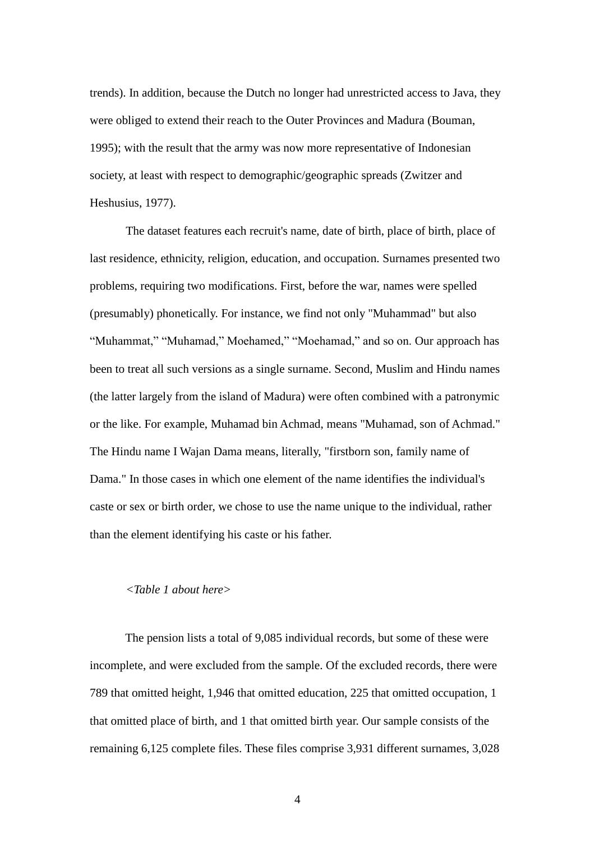trends). In addition, because the Dutch no longer had unrestricted access to Java, they were obliged to extend their reach to the Outer Provinces and Madura (Bouman, 1995); with the result that the army was now more representative of Indonesian society, at least with respect to demographic/geographic spreads (Zwitzer and Heshusius, 1977).

The dataset features each recruit's name, date of birth, place of birth, place of last residence, ethnicity, religion, education, and occupation. Surnames presented two problems, requiring two modifications. First, before the war, names were spelled (presumably) phonetically. For instance, we find not only "Muhammad" but also "Muhammat," "Muhamad," Moehamed," "Moehamad," and so on. Our approach has been to treat all such versions as a single surname. Second, Muslim and Hindu names (the latter largely from the island of Madura) were often combined with a patronymic or the like. For example, Muhamad bin Achmad, means "Muhamad, son of Achmad." The Hindu name I Wajan Dama means, literally, "firstborn son, family name of Dama." In those cases in which one element of the name identifies the individual's caste or sex or birth order, we chose to use the name unique to the individual, rather than the element identifying his caste or his father.

#### *<Table 1 about here>*

The pension lists a total of 9,085 individual records, but some of these were incomplete, and were excluded from the sample. Of the excluded records, there were 789 that omitted height, 1,946 that omitted education, 225 that omitted occupation, 1 that omitted place of birth, and 1 that omitted birth year. Our sample consists of the remaining 6,125 complete files. These files comprise 3,931 different surnames, 3,028

4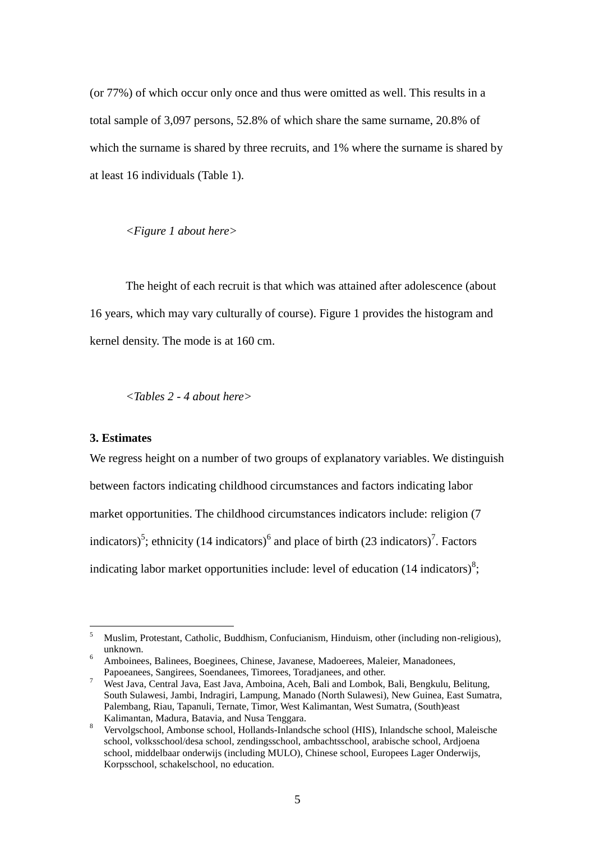(or 77%) of which occur only once and thus were omitted as well. This results in a total sample of 3,097 persons, 52.8% of which share the same surname, 20.8% of which the surname is shared by three recruits, and 1% where the surname is shared by at least 16 individuals (Table 1).

*<Figure 1 about here>*

The height of each recruit is that which was attained after adolescence (about 16 years, which may vary culturally of course). Figure 1 provides the histogram and kernel density. The mode is at 160 cm.

*<Tables 2 - 4 about here>*

#### **3. Estimates**

 $\overline{a}$ 

We regress height on a number of two groups of explanatory variables. We distinguish between factors indicating childhood circumstances and factors indicating labor market opportunities. The childhood circumstances indicators include: religion (7 indicators)<sup>5</sup>; ethnicity (14 indicators)<sup>6</sup> and place of birth (23 indicators)<sup>7</sup>. Factors indicating labor market opportunities include: level of education  $(14 \text{ indicators})^8$ ;

<sup>5</sup> Muslim, Protestant, Catholic, Buddhism, Confucianism, Hinduism, other (including non-religious), unknown.

<sup>6</sup> Amboinees, Balinees, Boeginees, Chinese, Javanese, Madoerees, Maleier, Manadonees, Papoeanees, Sangirees, Soendanees, Timorees, Toradjanees, and other.

<sup>7</sup> West Java, Central Java, East Java, Amboina, Aceh, Bali and Lombok, Bali, Bengkulu, Belitung, South Sulawesi, Jambi, Indragiri, Lampung, Manado (North Sulawesi), New Guinea, East Sumatra, Palembang, Riau, Tapanuli, Ternate, Timor, West Kalimantan, West Sumatra, (South)east Kalimantan, Madura, Batavia, and Nusa Tenggara.

<sup>8</sup> Vervolgschool, Ambonse school, Hollands-Inlandsche school (HIS), Inlandsche school, Maleische school, volksschool/desa school, zendingsschool, ambachtsschool, arabische school, Ardjoena school, middelbaar onderwijs (including MULO), Chinese school, Europees Lager Onderwijs, Korpsschool, schakelschool, no education.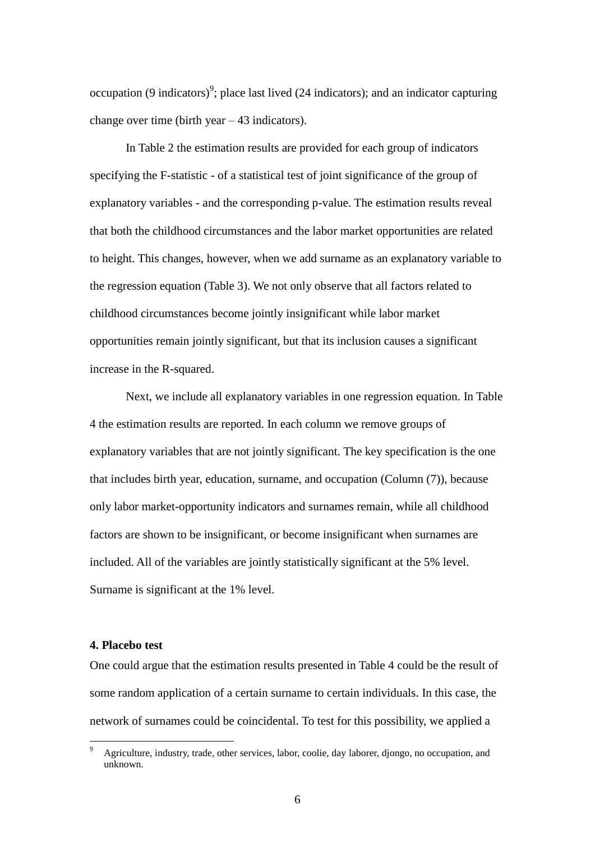occupation (9 indicators)<sup>9</sup>; place last lived (24 indicators); and an indicator capturing change over time (birth year  $-43$  indicators).

In Table 2 the estimation results are provided for each group of indicators specifying the F-statistic - of a statistical test of joint significance of the group of explanatory variables - and the corresponding p-value. The estimation results reveal that both the childhood circumstances and the labor market opportunities are related to height. This changes, however, when we add surname as an explanatory variable to the regression equation (Table 3). We not only observe that all factors related to childhood circumstances become jointly insignificant while labor market opportunities remain jointly significant, but that its inclusion causes a significant increase in the R-squared.

Next, we include all explanatory variables in one regression equation. In Table 4 the estimation results are reported. In each column we remove groups of explanatory variables that are not jointly significant. The key specification is the one that includes birth year, education, surname, and occupation (Column (7)), because only labor market-opportunity indicators and surnames remain, while all childhood factors are shown to be insignificant, or become insignificant when surnames are included. All of the variables are jointly statistically significant at the 5% level. Surname is significant at the 1% level.

#### **4. Placebo test**

 $\overline{a}$ 

One could argue that the estimation results presented in Table 4 could be the result of some random application of a certain surname to certain individuals. In this case, the network of surnames could be coincidental. To test for this possibility, we applied a

<sup>9</sup> Agriculture, industry, trade, other services, labor, coolie, day laborer, djongo, no occupation, and unknown.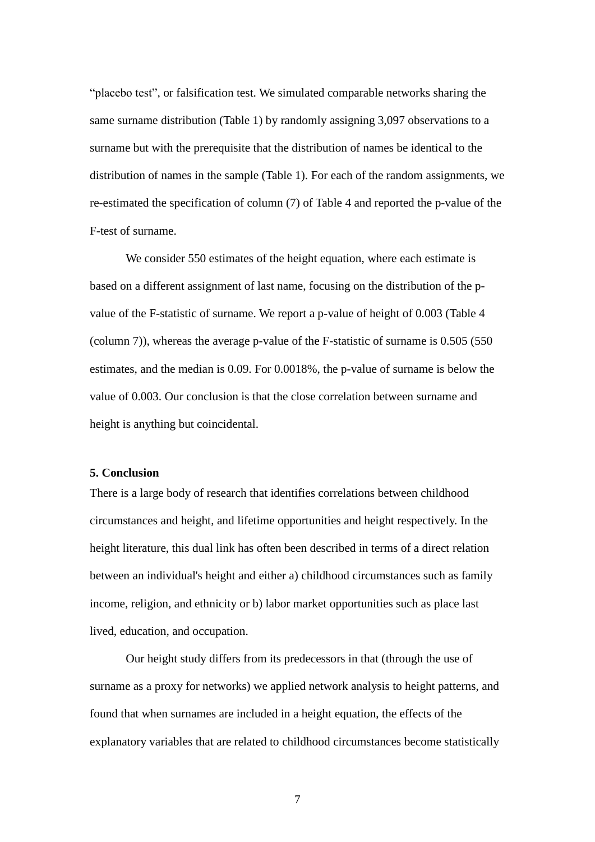"placebo test", or falsification test. We simulated comparable networks sharing the same surname distribution (Table 1) by randomly assigning 3,097 observations to a surname but with the prerequisite that the distribution of names be identical to the distribution of names in the sample (Table 1). For each of the random assignments, we re-estimated the specification of column (7) of Table 4 and reported the p-value of the F-test of surname.

We consider 550 estimates of the height equation, where each estimate is based on a different assignment of last name, focusing on the distribution of the pvalue of the F-statistic of surname. We report a p-value of height of 0.003 (Table 4 (column 7)), whereas the average p-value of the F-statistic of surname is 0.505 (550 estimates, and the median is 0.09. For 0.0018%, the p-value of surname is below the value of 0.003. Our conclusion is that the close correlation between surname and height is anything but coincidental.

#### **5. Conclusion**

There is a large body of research that identifies correlations between childhood circumstances and height, and lifetime opportunities and height respectively. In the height literature, this dual link has often been described in terms of a direct relation between an individual's height and either a) childhood circumstances such as family income, religion, and ethnicity or b) labor market opportunities such as place last lived, education, and occupation.

Our height study differs from its predecessors in that (through the use of surname as a proxy for networks) we applied network analysis to height patterns, and found that when surnames are included in a height equation, the effects of the explanatory variables that are related to childhood circumstances become statistically

7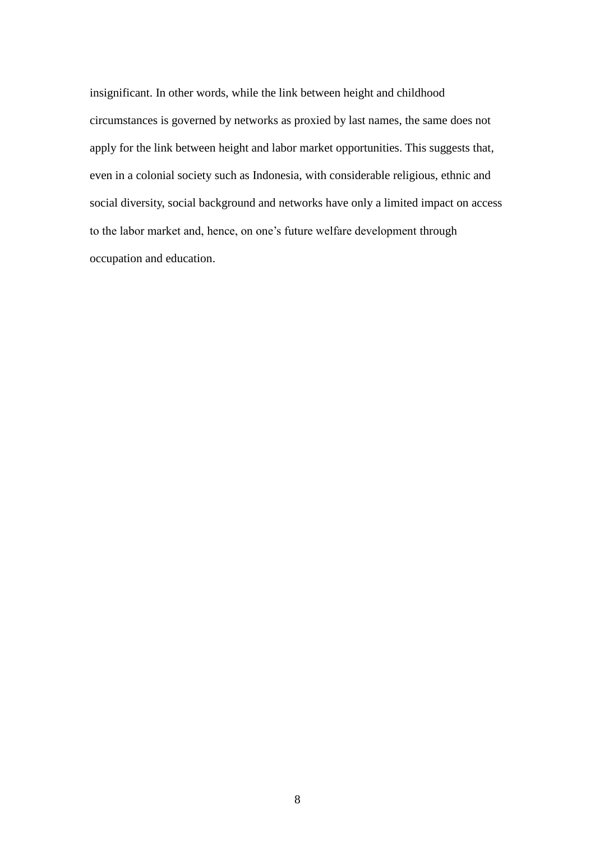insignificant. In other words, while the link between height and childhood circumstances is governed by networks as proxied by last names, the same does not apply for the link between height and labor market opportunities. This suggests that, even in a colonial society such as Indonesia, with considerable religious, ethnic and social diversity, social background and networks have only a limited impact on access to the labor market and, hence, on one's future welfare development through occupation and education.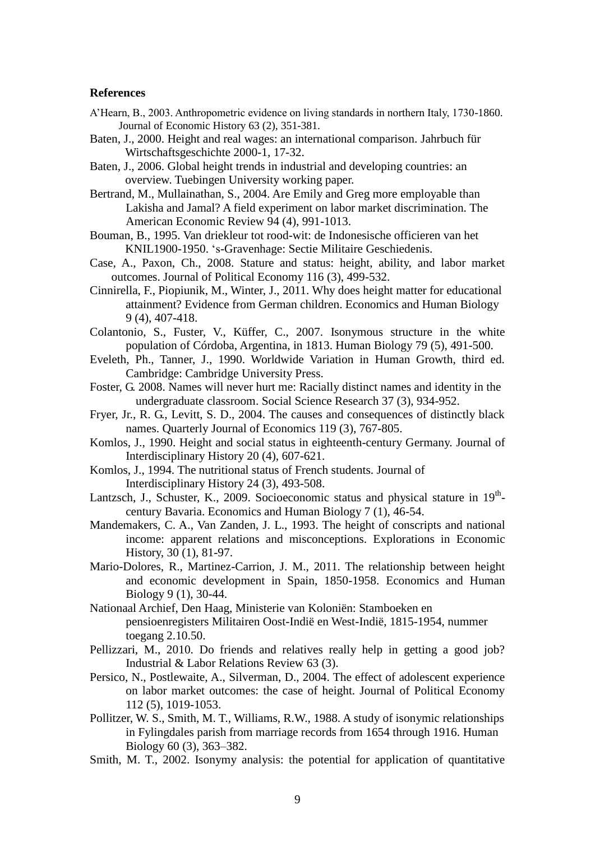#### **References**

- A'Hearn, B., 2003. Anthropometric evidence on living standards in northern Italy, 1730-1860. Journal of Economic History 63 (2), 351-381.
- Baten, J., 2000. Height and real wages: an international comparison. Jahrbuch für Wirtschaftsgeschichte 2000-1, 17-32.
- Baten, J., 2006. Global height trends in industrial and developing countries: an overview. Tuebingen University working paper.
- Bertrand, M., Mullainathan, S., 2004. Are Emily and Greg more employable than Lakisha and Jamal? A field experiment on labor market discrimination. The American Economic Review 94 (4), 991-1013.
- Bouman, B., 1995. Van driekleur tot rood-wit: de Indonesische officieren van het KNIL1900-1950. 's-Gravenhage: Sectie Militaire Geschiedenis.
- Case, A., Paxon, Ch., 2008. Stature and status: height, ability, and labor market outcomes. Journal of Political Economy 116 (3), 499-532.
- Cinnirella, F., Piopiunik, M., Winter, J., 2011. Why does height matter for educational attainment? Evidence from German children. Economics and Human Biology 9 (4), 407-418.
- Colantonio, S., Fuster, V., Küffer, C., 2007. Isonymous structure in the white population of Córdoba, Argentina, in 1813. Human Biology 79 (5), 491-500.
- Eveleth, Ph., Tanner, J., 1990. Worldwide Variation in Human Growth, third ed. Cambridge: Cambridge University Press.
- Foster, G. 2008. Names will never hurt me: Racially distinct names and identity in the undergraduate classroom. Social Science Research 37 (3), 934-952.
- Fryer, Jr., R. G., Levitt, S. D., 2004. The causes and consequences of distinctly black names. Quarterly Journal of Economics 119 (3), 767-805.
- Komlos, J., 1990. Height and social status in eighteenth-century Germany. Journal of Interdisciplinary History 20 (4), 607-621.
- Komlos, J., 1994. The nutritional status of French students. Journal of Interdisciplinary History 24 (3), 493-508.
- Lantzsch, J., Schuster, K., 2009. Socioeconomic status and physical stature in 19<sup>th</sup>century Bavaria. Economics and Human Biology 7 (1), 46-54.
- Mandemakers, C. A., Van Zanden, J. L., 1993. The height of conscripts and national income: apparent relations and misconceptions. Explorations in Economic History, 30 (1), 81-97.
- Mario-Dolores, R., Martinez-Carrion, J. M., 2011. The relationship between height and economic development in Spain, 1850-1958. Economics and Human Biology 9 (1), 30-44.
- Nationaal Archief, Den Haag, Ministerie van Koloniën: Stamboeken en pensioenregisters Militairen Oost-Indië en West-Indië, 1815-1954, nummer toegang 2.10.50.
- Pellizzari, M., 2010. Do friends and relatives really help in getting a good job? Industrial & Labor Relations Review 63 (3).
- Persico, N., Postlewaite, A., Silverman, D., 2004. The effect of adolescent experience on labor market outcomes: the case of height. Journal of Political Economy 112 (5), 1019-1053.
- Pollitzer, W. S., Smith, M. T., Williams, R.W., 1988. A study of isonymic relationships in Fylingdales parish from marriage records from 1654 through 1916. Human Biology 60 (3), 363–382.
- Smith, M. T., 2002. Isonymy analysis: the potential for application of quantitative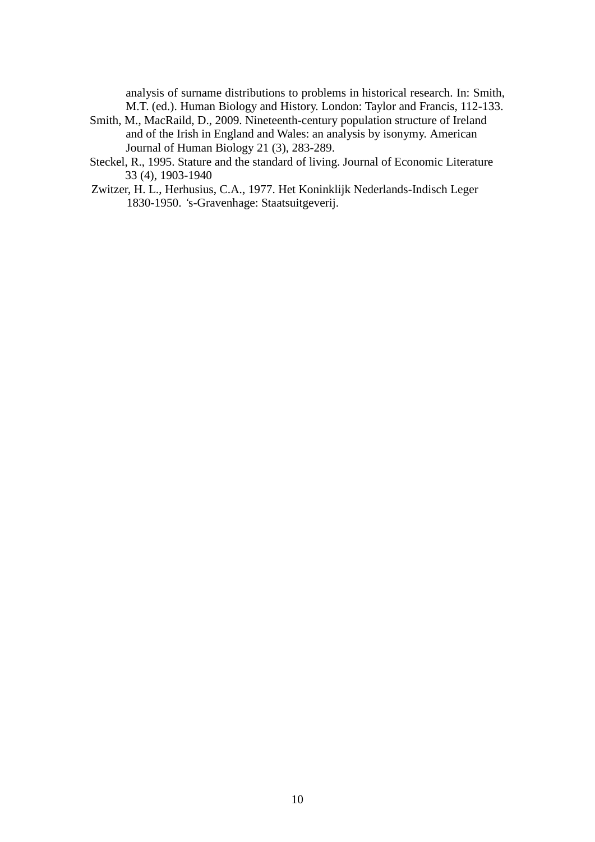analysis of surname distributions to problems in historical research. In: Smith, M.T. (ed.). Human Biology and History. London: Taylor and Francis, 112-133.

- Smith, M., MacRaild, D., 2009. Nineteenth-century population structure of Ireland and of the Irish in England and Wales: an analysis by isonymy. American Journal of Human Biology 21 (3), 283-289.
- Steckel, R., 1995. Stature and the standard of living. Journal of Economic Literature 33 (4), 1903-1940
- Zwitzer, H. L., Herhusius, C.A., 1977. Het Koninklijk Nederlands-Indisch Leger 1830-1950. *'*s-Gravenhage: Staatsuitgeverij.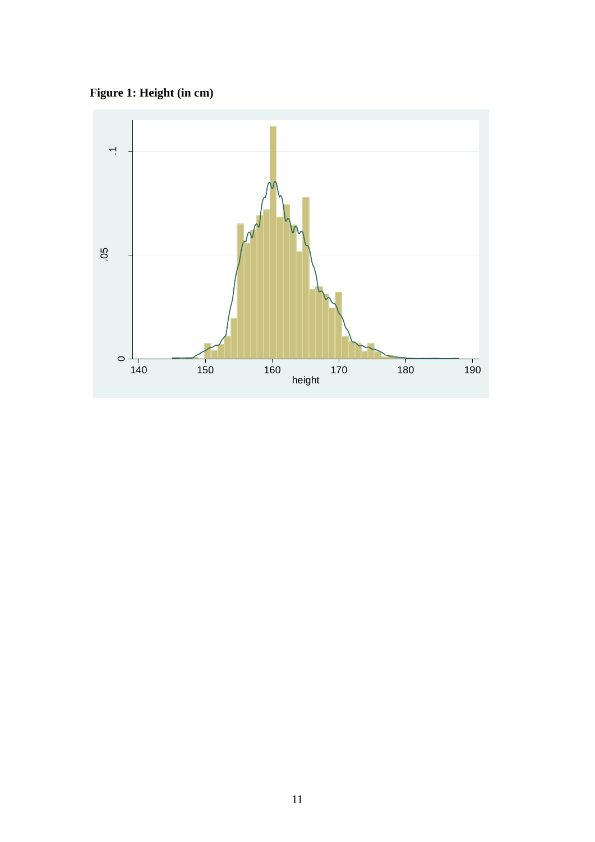**Figure 1: Height (in cm)**

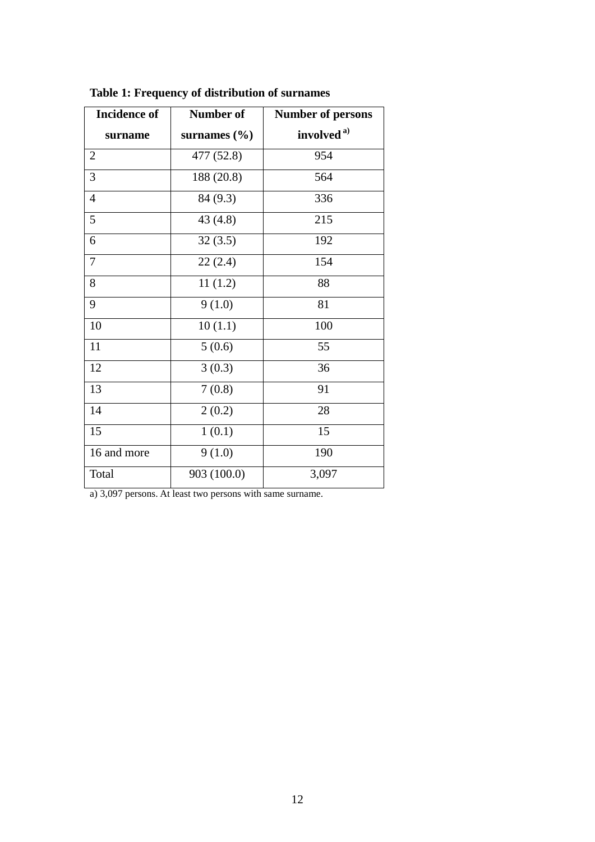| <b>Incidence of</b> | Number of        | <b>Number of persons</b> |  |  |  |
|---------------------|------------------|--------------------------|--|--|--|
| surname             | surnames $(\% )$ | involved <sup>a)</sup>   |  |  |  |
| $\overline{2}$      | 477 (52.8)       | 954                      |  |  |  |
| 3                   | 188 (20.8)       | 564                      |  |  |  |
| $\overline{4}$      | 84 (9.3)         | 336                      |  |  |  |
| 5                   | 43(4.8)          | 215                      |  |  |  |
| 6                   | 32(3.5)          | 192                      |  |  |  |
| $\overline{7}$      | 22(2.4)          | 154                      |  |  |  |
| 8                   | 11(1.2)          | 88                       |  |  |  |
| 9                   | 9(1.0)           | 81                       |  |  |  |
| 10                  | 10(1.1)          | 100                      |  |  |  |
| 11                  | 5(0.6)           | 55                       |  |  |  |
| 12                  | 3(0.3)           | 36                       |  |  |  |
| 13                  | 7(0.8)           | 91                       |  |  |  |
| 14                  | 2(0.2)           | 28                       |  |  |  |
| 15                  | 1(0.1)           | 15                       |  |  |  |
| 16 and more         | 9(1.0)           | 190                      |  |  |  |
| Total               | 903 (100.0)      | 3,097                    |  |  |  |

**Table 1: Frequency of distribution of surnames** 

a) 3,097 persons. At least two persons with same surname.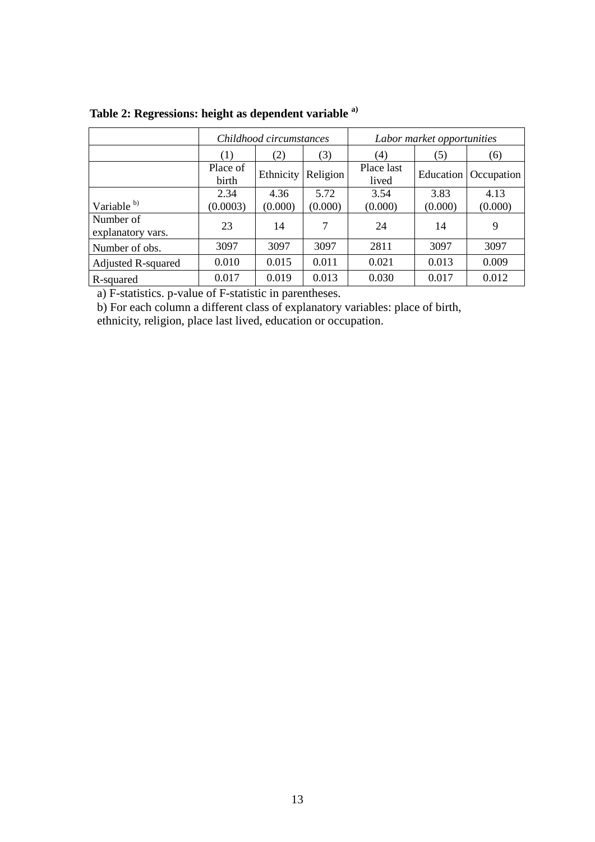|                                |                   | Childhood circumstances |          | Labor market opportunities |           |            |  |
|--------------------------------|-------------------|-------------------------|----------|----------------------------|-----------|------------|--|
|                                | (1)               | (2)                     | (3)      | (4)                        | (5)       | (6)        |  |
|                                | Place of<br>birth | Ethnicity               | Religion | Place last<br>lived        | Education | Occupation |  |
|                                | 2.34              | 4.36                    | 5.72     | 3.54                       | 3.83      | 4.13       |  |
| Variable b)                    | (0.0003)          | (0.000)                 | (0.000)  | (0.000)                    | (0.000)   | (0.000)    |  |
| Number of<br>explanatory vars. | 23                | 14                      | 7        | 24                         | 14        | 9          |  |
| Number of obs.                 | 3097              | 3097                    | 3097     | 2811                       | 3097      | 3097       |  |
| <b>Adjusted R-squared</b>      | 0.010             | 0.015                   | 0.011    | 0.021                      | 0.013     | 0.009      |  |
| R-squared                      | 0.017             | 0.019                   | 0.013    | 0.030                      | 0.017     | 0.012      |  |

**Table 2: Regressions: height as dependent variable a)**

a) F-statistics. p-value of F-statistic in parentheses.

b) For each column a different class of explanatory variables: place of birth, ethnicity, religion, place last lived, education or occupation.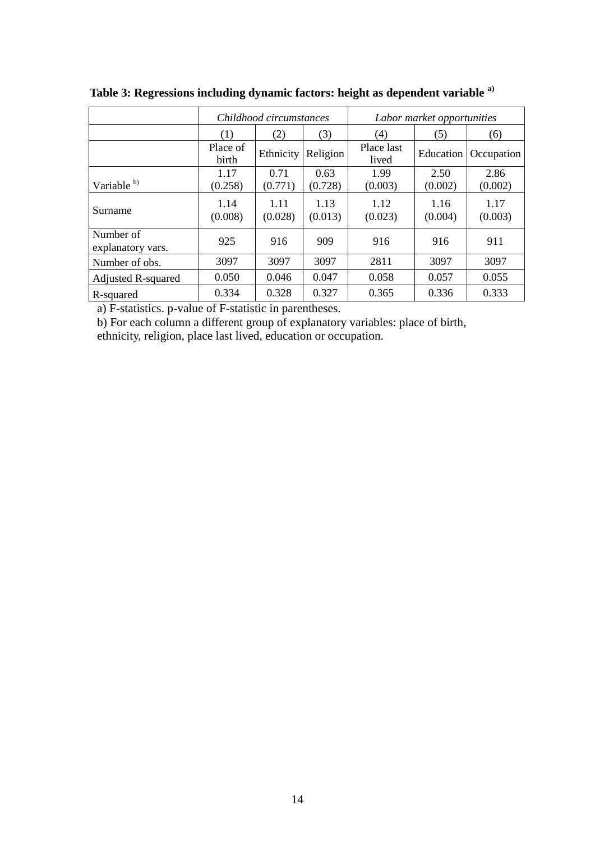|                                |                   | Childhood circumstances |                 | Labor market opportunities |                 |                 |  |
|--------------------------------|-------------------|-------------------------|-----------------|----------------------------|-----------------|-----------------|--|
|                                | (1)<br>(3)<br>(2) |                         | (4)             | (5)                        | (6)             |                 |  |
|                                | Place of<br>birth | Ethnicity               | Religion        | Place last<br>lived        | Education       | Occupation      |  |
|                                | 1.17              | 0.71                    | 0.63            | 1.99                       | 2.50            | 2.86            |  |
| Variable b)                    | (0.258)           | (0.771)                 | (0.728)         | (0.003)                    | (0.002)         | (0.002)         |  |
| Surname                        | 1.14<br>(0.008)   | 1.11<br>(0.028)         | 1.13<br>(0.013) | 1.12<br>(0.023)            | 1.16<br>(0.004) | 1.17<br>(0.003) |  |
| Number of<br>explanatory vars. | 925               | 916                     | 909             | 916                        | 916             | 911             |  |
| Number of obs.                 | 3097              | 3097                    | 3097            | 2811                       | 3097            | 3097            |  |
| <b>Adjusted R-squared</b>      | 0.050             | 0.046                   | 0.047           | 0.058                      | 0.057           | 0.055           |  |
| R-squared                      | 0.334             | 0.328                   | 0.327           | 0.365                      | 0.336           | 0.333           |  |

**Table 3: Regressions including dynamic factors: height as dependent variable a)**

a) F-statistics. p-value of F-statistic in parentheses.

b) For each column a different group of explanatory variables: place of birth, ethnicity, religion, place last lived, education or occupation.